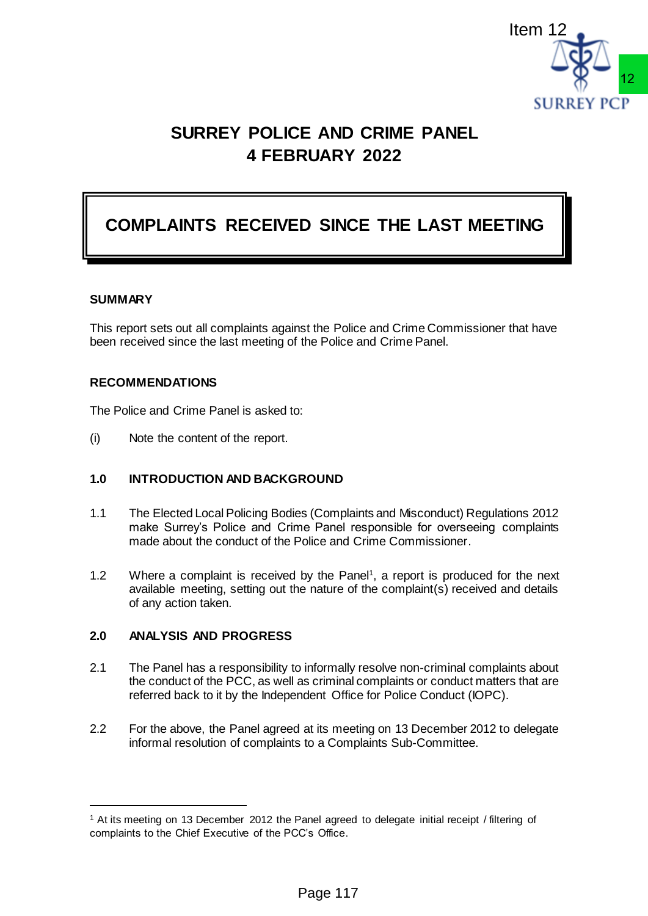

# **SURREY POLICE AND CRIME PANEL 4 FEBRUARY 2022**

# **COMPLAINTS RECEIVED SINCE THE LAST MEETING**

#### **SUMMARY**

 $\overline{a}$ 

This report sets out all complaints against the Police and Crime Commissioner that have been received since the last meeting of the Police and Crime Panel.

### **RECOMMENDATIONS**

The Police and Crime Panel is asked to:

(i) Note the content of the report.

### **1.0 INTRODUCTION AND BACKGROUND**

- 1.1 The Elected Local Policing Bodies (Complaints and Misconduct) Regulations 2012 make Surrey's Police and Crime Panel responsible for overseeing complaints made about the conduct of the Police and Crime Commissioner.
- 1.2 Where a complaint is received by the Panel<sup>1</sup>, a report is produced for the next available meeting, setting out the nature of the complaint(s) received and details of any action taken.

### **2.0 ANALYSIS AND PROGRESS**

- 2.1 The Panel has a responsibility to informally resolve non-criminal complaints about the conduct of the PCC, as well as criminal complaints or conduct matters that are referred back to it by the Independent Office for Police Conduct (IOPC).
- 2.2 For the above, the Panel agreed at its meeting on 13 December 2012 to delegate informal resolution of complaints to a Complaints Sub-Committee.

<sup>1</sup> At its meeting on 13 December 2012 the Panel agreed to delegate initial receipt / filtering of complaints to the Chief Executive of the PCC's Office.